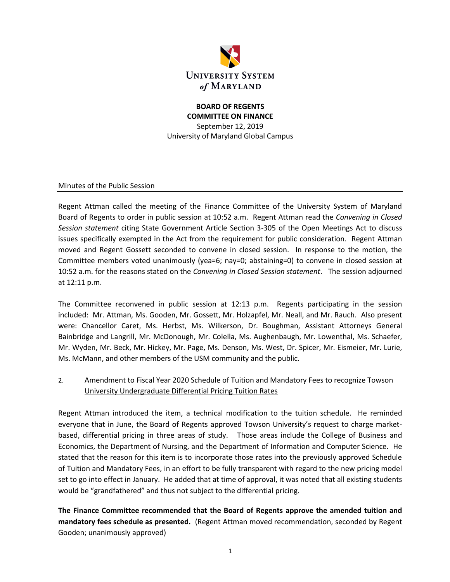

## **BOARD OF REGENTS COMMITTEE ON FINANCE** September 12, 2019 University of Maryland Global Campus

Minutes of the Public Session

Regent Attman called the meeting of the Finance Committee of the University System of Maryland Board of Regents to order in public session at 10:52 a.m. Regent Attman read the *Convening in Closed Session statement* citing State Government Article Section 3-305 of the Open Meetings Act to discuss issues specifically exempted in the Act from the requirement for public consideration. Regent Attman moved and Regent Gossett seconded to convene in closed session. In response to the motion, the Committee members voted unanimously (yea=6; nay=0; abstaining=0) to convene in closed session at 10:52 a.m. for the reasons stated on the *Convening in Closed Session statement*. The session adjourned at 12:11 p.m.

The Committee reconvened in public session at 12:13 p.m. Regents participating in the session included: Mr. Attman, Ms. Gooden, Mr. Gossett, Mr. Holzapfel, Mr. Neall, and Mr. Rauch. Also present were: Chancellor Caret, Ms. Herbst, Ms. Wilkerson, Dr. Boughman, Assistant Attorneys General Bainbridge and Langrill, Mr. McDonough, Mr. Colella, Ms. Aughenbaugh, Mr. Lowenthal, Ms. Schaefer, Mr. Wyden, Mr. Beck, Mr. Hickey, Mr. Page, Ms. Denson, Ms. West, Dr. Spicer, Mr. Eismeier, Mr. Lurie, Ms. McMann, and other members of the USM community and the public.

# 2. Amendment to Fiscal Year 2020 Schedule of Tuition and Mandatory Fees to recognize Towson University Undergraduate Differential Pricing Tuition Rates

Regent Attman introduced the item, a technical modification to the tuition schedule. He reminded everyone that in June, the Board of Regents approved Towson University's request to charge marketbased, differential pricing in three areas of study. Those areas include the College of Business and Economics, the Department of Nursing, and the Department of Information and Computer Science. He stated that the reason for this item is to incorporate those rates into the previously approved Schedule of Tuition and Mandatory Fees, in an effort to be fully transparent with regard to the new pricing model set to go into effect in January. He added that at time of approval, it was noted that all existing students would be "grandfathered" and thus not subject to the differential pricing.

**The Finance Committee recommended that the Board of Regents approve the amended tuition and mandatory fees schedule as presented.** (Regent Attman moved recommendation, seconded by Regent Gooden; unanimously approved)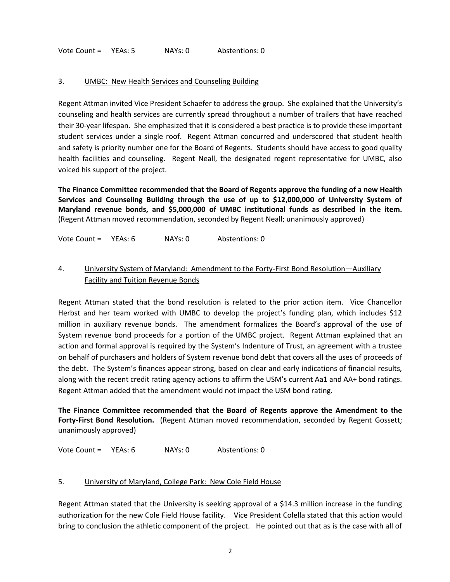Vote Count = YEAs: 5 NAYs: 0 Abstentions: 0

### 3. UMBC: New Health Services and Counseling Building

Regent Attman invited Vice President Schaefer to address the group. She explained that the University's counseling and health services are currently spread throughout a number of trailers that have reached their 30-year lifespan. She emphasized that it is considered a best practice is to provide these important student services under a single roof. Regent Attman concurred and underscored that student health and safety is priority number one for the Board of Regents. Students should have access to good quality health facilities and counseling. Regent Neall, the designated regent representative for UMBC, also voiced his support of the project.

**The Finance Committee recommended that the Board of Regents approve the funding of a new Health Services and Counseling Building through the use of up to \$12,000,000 of University System of Maryland revenue bonds, and \$5,000,000 of UMBC institutional funds as described in the item.**  (Regent Attman moved recommendation, seconded by Regent Neall; unanimously approved)

Vote Count = YEAs: 6 NAYs: 0 Abstentions: 0

## 4. University System of Maryland: Amendment to the Forty-First Bond Resolution—Auxiliary Facility and Tuition Revenue Bonds

Regent Attman stated that the bond resolution is related to the prior action item. Vice Chancellor Herbst and her team worked with UMBC to develop the project's funding plan, which includes \$12 million in auxiliary revenue bonds. The amendment formalizes the Board's approval of the use of System revenue bond proceeds for a portion of the UMBC project. Regent Attman explained that an action and formal approval is required by the System's Indenture of Trust, an agreement with a trustee on behalf of purchasers and holders of System revenue bond debt that covers all the uses of proceeds of the debt. The System's finances appear strong, based on clear and early indications of financial results, along with the recent credit rating agency actions to affirm the USM's current Aa1 and AA+ bond ratings. Regent Attman added that the amendment would not impact the USM bond rating.

**The Finance Committee recommended that the Board of Regents approve the Amendment to the Forty-First Bond Resolution.** (Regent Attman moved recommendation, seconded by Regent Gossett; unanimously approved)

Vote Count = YEAs: 6 NAYs: 0 Abstentions: 0

#### 5. University of Maryland, College Park: New Cole Field House

Regent Attman stated that the University is seeking approval of a \$14.3 million increase in the funding authorization for the new Cole Field House facility. Vice President Colella stated that this action would bring to conclusion the athletic component of the project. He pointed out that as is the case with all of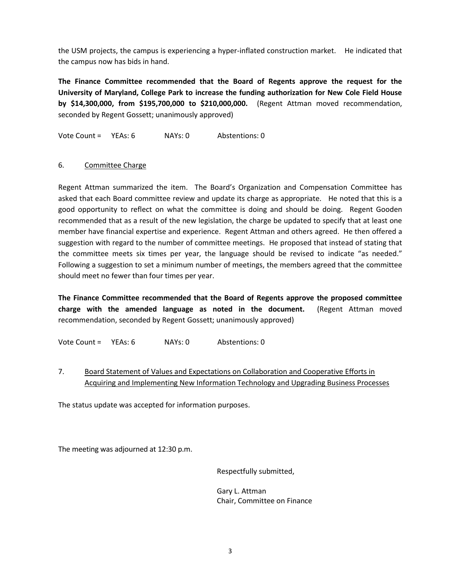the USM projects, the campus is experiencing a hyper-inflated construction market. He indicated that the campus now has bids in hand.

**The Finance Committee recommended that the Board of Regents approve the request for the University of Maryland, College Park to increase the funding authorization for New Cole Field House by \$14,300,000, from \$195,700,000 to \$210,000,000.** (Regent Attman moved recommendation, seconded by Regent Gossett; unanimously approved)

Vote Count = YEAs: 6 NAYs: 0 Abstentions: 0

## 6. Committee Charge

Regent Attman summarized the item. The Board's Organization and Compensation Committee has asked that each Board committee review and update its charge as appropriate. He noted that this is a good opportunity to reflect on what the committee is doing and should be doing. Regent Gooden recommended that as a result of the new legislation, the charge be updated to specify that at least one member have financial expertise and experience. Regent Attman and others agreed. He then offered a suggestion with regard to the number of committee meetings. He proposed that instead of stating that the committee meets six times per year, the language should be revised to indicate "as needed." Following a suggestion to set a minimum number of meetings, the members agreed that the committee should meet no fewer than four times per year.

**The Finance Committee recommended that the Board of Regents approve the proposed committee charge with the amended language as noted in the document.** (Regent Attman moved recommendation, seconded by Regent Gossett; unanimously approved)

Vote Count = YEAs: 6 NAYs: 0 Abstentions: 0

# 7. Board Statement of Values and Expectations on Collaboration and Cooperative Efforts in Acquiring and Implementing New Information Technology and Upgrading Business Processes

The status update was accepted for information purposes.

The meeting was adjourned at 12:30 p.m.

Respectfully submitted,

Gary L. Attman Chair, Committee on Finance